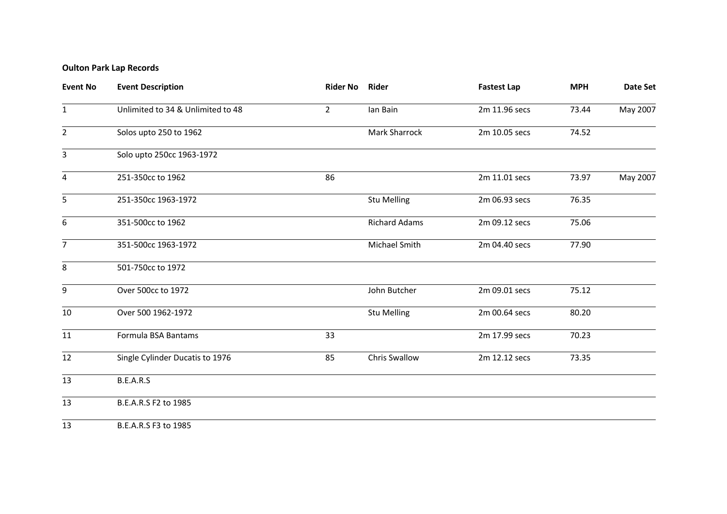## **Oulton Park Lap Records**

| <b>Event No</b> | <b>Event Description</b>          | <b>Rider No</b> | Rider                | <b>Fastest Lap</b> | <b>MPH</b> | <b>Date Set</b> |
|-----------------|-----------------------------------|-----------------|----------------------|--------------------|------------|-----------------|
| $\mathbf{1}$    | Unlimited to 34 & Unlimited to 48 | $\overline{2}$  | lan Bain             | 2m 11.96 secs      | 73.44      | May 2007        |
| $\overline{2}$  | Solos upto 250 to 1962            |                 | Mark Sharrock        | 2m 10.05 secs      | 74.52      |                 |
| 3               | Solo upto 250cc 1963-1972         |                 |                      |                    |            |                 |
| 4               | 251-350cc to 1962                 | 86              |                      | 2m 11.01 secs      | 73.97      | May 2007        |
| 5               | 251-350cc 1963-1972               |                 | <b>Stu Melling</b>   | 2m 06.93 secs      | 76.35      |                 |
| 6               | 351-500cc to 1962                 |                 | <b>Richard Adams</b> | 2m 09.12 secs      | 75.06      |                 |
| $\overline{7}$  | 351-500cc 1963-1972               |                 | Michael Smith        | 2m 04.40 secs      | 77.90      |                 |
| 8               | 501-750cc to 1972                 |                 |                      |                    |            |                 |
| 9               | Over 500cc to 1972                |                 | John Butcher         | 2m 09.01 secs      | 75.12      |                 |
| 10              | Over 500 1962-1972                |                 | <b>Stu Melling</b>   | 2m 00.64 secs      | 80.20      |                 |
| 11              | Formula BSA Bantams               | 33              |                      | 2m 17.99 secs      | 70.23      |                 |
| 12              | Single Cylinder Ducatis to 1976   | 85              | <b>Chris Swallow</b> | 2m 12.12 secs      | 73.35      |                 |
| 13              | B.E.A.R.S                         |                 |                      |                    |            |                 |
| 13              | B.E.A.R.S F2 to 1985              |                 |                      |                    |            |                 |
| 13              | B.E.A.R.S F3 to 1985              |                 |                      |                    |            |                 |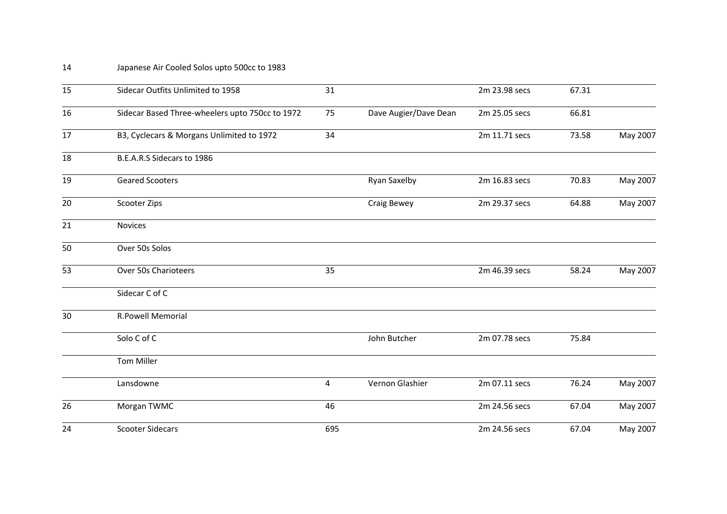## Japanese Air Cooled Solos upto 500cc to 1983

| 15 | Sidecar Outfits Unlimited to 1958               | 31  |                       | 2m 23.98 secs | 67.31 |          |
|----|-------------------------------------------------|-----|-----------------------|---------------|-------|----------|
| 16 | Sidecar Based Three-wheelers upto 750cc to 1972 | 75  | Dave Augier/Dave Dean | 2m 25.05 secs | 66.81 |          |
| 17 | B3, Cyclecars & Morgans Unlimited to 1972       | 34  |                       | 2m 11.71 secs | 73.58 | May 2007 |
| 18 | B.E.A.R.S Sidecars to 1986                      |     |                       |               |       |          |
| 19 | <b>Geared Scooters</b>                          |     | <b>Ryan Saxelby</b>   | 2m 16.83 secs | 70.83 | May 2007 |
| 20 | Scooter Zips                                    |     | <b>Craig Bewey</b>    | 2m 29.37 secs | 64.88 | May 2007 |
| 21 | <b>Novices</b>                                  |     |                       |               |       |          |
| 50 | Over 50s Solos                                  |     |                       |               |       |          |
| 53 | Over 50s Charioteers                            | 35  |                       | 2m 46.39 secs | 58.24 | May 2007 |
|    | Sidecar C of C                                  |     |                       |               |       |          |
| 30 | <b>R.Powell Memorial</b>                        |     |                       |               |       |          |
|    | Solo C of C                                     |     | John Butcher          | 2m 07.78 secs | 75.84 |          |
|    | <b>Tom Miller</b>                               |     |                       |               |       |          |
|    | Lansdowne                                       | 4   | Vernon Glashier       | 2m 07.11 secs | 76.24 | May 2007 |
| 26 | Morgan TWMC                                     | 46  |                       | 2m 24.56 secs | 67.04 | May 2007 |
| 24 | <b>Scooter Sidecars</b>                         | 695 |                       | 2m 24.56 secs | 67.04 | May 2007 |